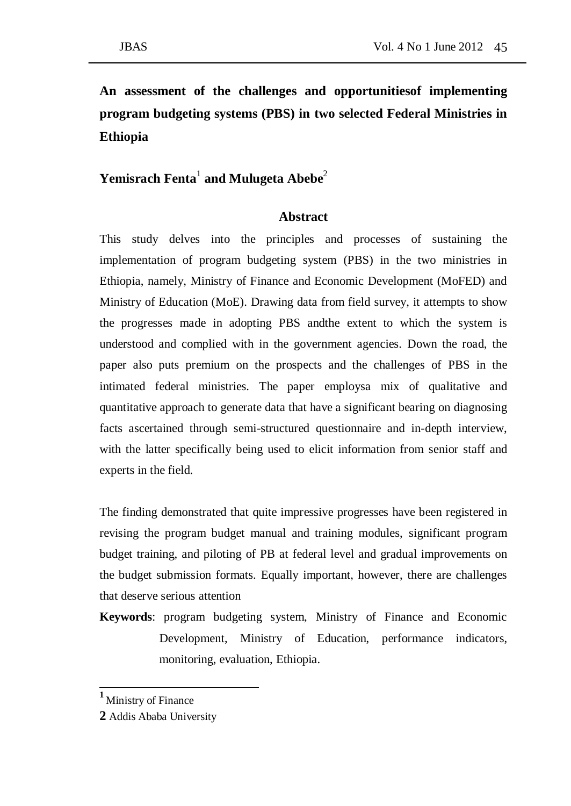# **An assessment of the challenges and opportunitiesof implementing program budgeting systems (PBS) in two selected Federal Ministries in Ethiopia**

## **Yemisrach Fenta**<sup>1</sup> **and Mulugeta Abebe**<sup>2</sup>

### **Abstract**

This study delves into the principles and processes of sustaining the implementation of program budgeting system (PBS) in the two ministries in Ethiopia, namely, Ministry of Finance and Economic Development (MoFED) and Ministry of Education (MoE). Drawing data from field survey, it attempts to show the progresses made in adopting PBS andthe extent to which the system is understood and complied with in the government agencies. Down the road, the paper also puts premium on the prospects and the challenges of PBS in the intimated federal ministries. The paper employsa mix of qualitative and quantitative approach to generate data that have a significant bearing on diagnosing facts ascertained through semi-structured questionnaire and in-depth interview, with the latter specifically being used to elicit information from senior staff and experts in the field.

The finding demonstrated that quite impressive progresses have been registered in revising the program budget manual and training modules, significant program budget training, and piloting of PB at federal level and gradual improvements on the budget submission formats. Equally important, however, there are challenges that deserve serious attention

**Keywords**: program budgeting system, Ministry of Finance and Economic Development, Ministry of Education, performance indicators, monitoring, evaluation, Ethiopia.

 $\frac{1}{2}$ 

**<sup>1</sup>** Ministry of Finance

**<sup>2</sup>** Addis Ababa University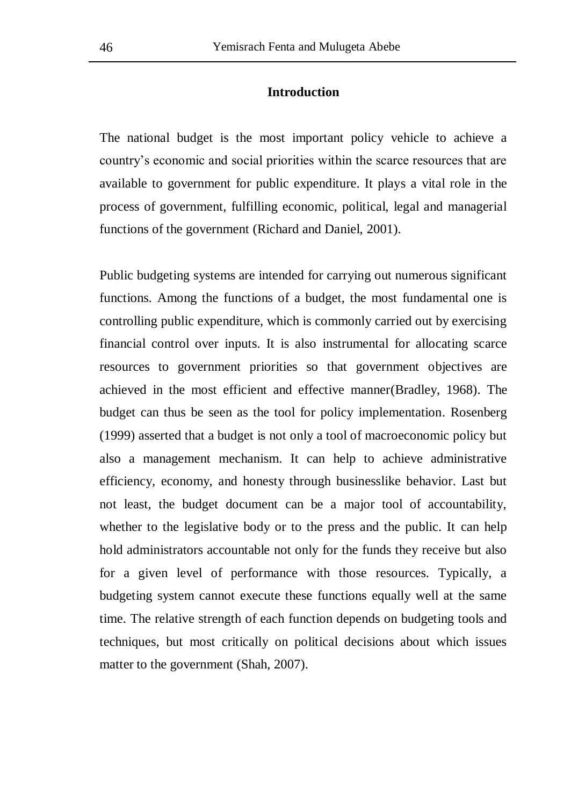### **Introduction**

The national budget is the most important policy vehicle to achieve a country's economic and social priorities within the scarce resources that are available to government for public expenditure. It plays a vital role in the process of government, fulfilling economic, political, legal and managerial functions of the government (Richard and Daniel, 2001).

Public budgeting systems are intended for carrying out numerous significant functions. Among the functions of a budget, the most fundamental one is controlling public expenditure, which is commonly carried out by exercising financial control over inputs. It is also instrumental for allocating scarce resources to government priorities so that government objectives are achieved in the most efficient and effective manner(Bradley, 1968). The budget can thus be seen as the tool for policy implementation. Rosenberg (1999) asserted that a budget is not only a tool of macroeconomic policy but also a management mechanism. It can help to achieve administrative efficiency, economy, and honesty through businesslike behavior. Last but not least, the budget document can be a major tool of accountability, whether to the legislative body or to the press and the public. It can help hold administrators accountable not only for the funds they receive but also for a given level of performance with those resources. Typically, a budgeting system cannot execute these functions equally well at the same time. The relative strength of each function depends on budgeting tools and techniques, but most critically on political decisions about which issues matter to the government (Shah, 2007).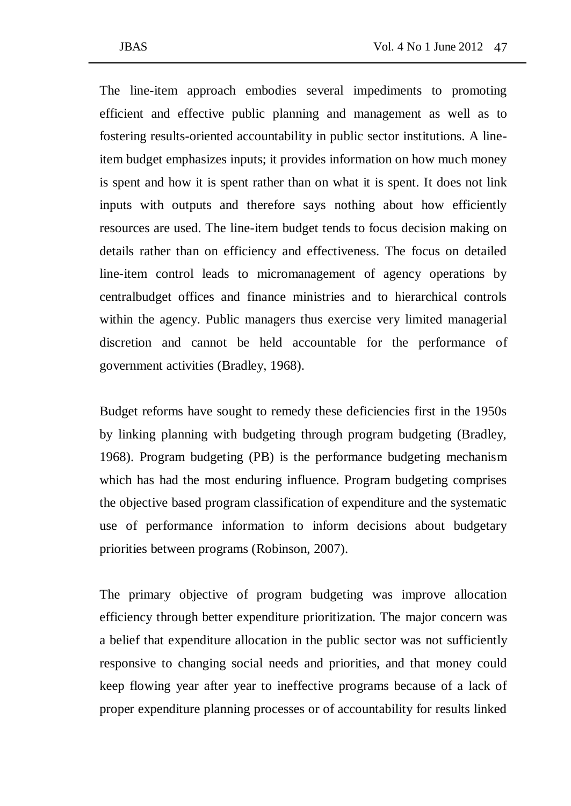The line-item approach embodies several impediments to promoting efficient and effective public planning and management as well as to fostering results-oriented accountability in public sector institutions. A lineitem budget emphasizes inputs; it provides information on how much money is spent and how it is spent rather than on what it is spent. It does not link inputs with outputs and therefore says nothing about how efficiently resources are used. The line-item budget tends to focus decision making on details rather than on efficiency and effectiveness. The focus on detailed line-item control leads to micromanagement of agency operations by centralbudget offices and finance ministries and to hierarchical controls within the agency. Public managers thus exercise very limited managerial discretion and cannot be held accountable for the performance of government activities (Bradley, 1968).

Budget reforms have sought to remedy these deficiencies first in the 1950s by linking planning with budgeting through program budgeting (Bradley, 1968). Program budgeting (PB) is the performance budgeting mechanism which has had the most enduring influence. Program budgeting comprises the objective based program classification of expenditure and the systematic use of performance information to inform decisions about budgetary priorities between programs (Robinson, 2007).

The primary objective of program budgeting was improve allocation efficiency through better expenditure prioritization. The major concern was a belief that expenditure allocation in the public sector was not sufficiently responsive to changing social needs and priorities, and that money could keep flowing year after year to ineffective programs because of a lack of proper expenditure planning processes or of accountability for results linked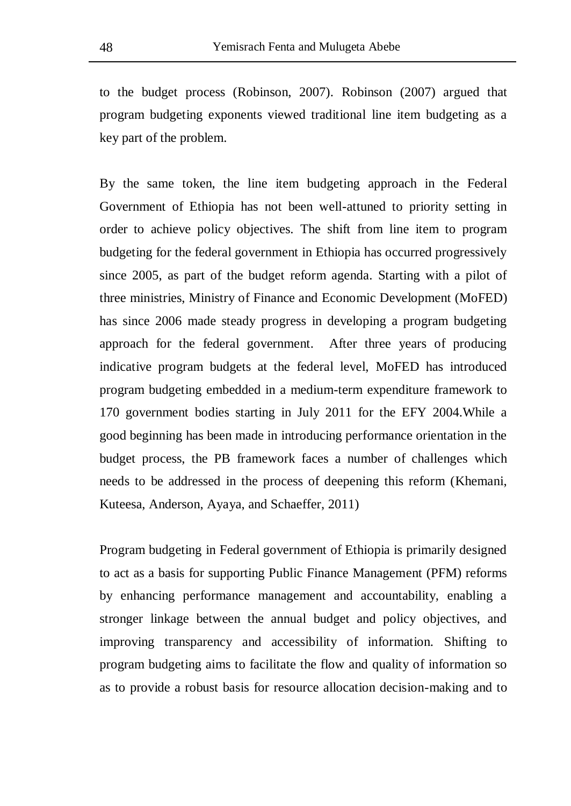to the budget process (Robinson, 2007). Robinson (2007) argued that program budgeting exponents viewed traditional line item budgeting as a key part of the problem.

By the same token, the line item budgeting approach in the Federal Government of Ethiopia has not been well-attuned to priority setting in order to achieve policy objectives. The shift from line item to program budgeting for the federal government in Ethiopia has occurred progressively since 2005, as part of the budget reform agenda. Starting with a pilot of three ministries, Ministry of Finance and Economic Development (MoFED) has since 2006 made steady progress in developing a program budgeting approach for the federal government. After three years of producing indicative program budgets at the federal level, MoFED has introduced program budgeting embedded in a medium-term expenditure framework to 170 government bodies starting in July 2011 for the EFY 2004.While a good beginning has been made in introducing performance orientation in the budget process, the PB framework faces a number of challenges which needs to be addressed in the process of deepening this reform (Khemani, Kuteesa, Anderson, Ayaya, and Schaeffer, 2011)

Program budgeting in Federal government of Ethiopia is primarily designed to act as a basis for supporting Public Finance Management (PFM) reforms by enhancing performance management and accountability, enabling a stronger linkage between the annual budget and policy objectives, and improving transparency and accessibility of information. Shifting to program budgeting aims to facilitate the flow and quality of information so as to provide a robust basis for resource allocation decision-making and to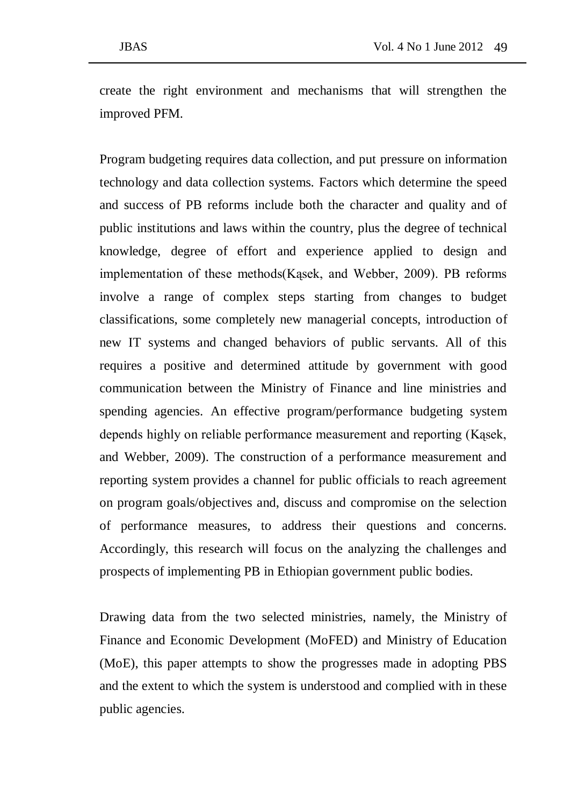create the right environment and mechanisms that will strengthen the improved PFM.

Program budgeting requires data collection, and put pressure on information technology and data collection systems. Factors which determine the speed and success of PB reforms include both the character and quality and of public institutions and laws within the country, plus the degree of technical knowledge, degree of effort and experience applied to design and implementation of these methods(Kąsek, and Webber, 2009). PB reforms involve a range of complex steps starting from changes to budget classifications, some completely new managerial concepts, introduction of new IT systems and changed behaviors of public servants. All of this requires a positive and determined attitude by government with good communication between the Ministry of Finance and line ministries and spending agencies. An effective program/performance budgeting system depends highly on reliable performance measurement and reporting (Kąsek, and Webber, 2009). The construction of a performance measurement and reporting system provides a channel for public officials to reach agreement on program goals/objectives and, discuss and compromise on the selection of performance measures, to address their questions and concerns. Accordingly, this research will focus on the analyzing the challenges and prospects of implementing PB in Ethiopian government public bodies.

Drawing data from the two selected ministries, namely, the Ministry of Finance and Economic Development (MoFED) and Ministry of Education (MoE), this paper attempts to show the progresses made in adopting PBS and the extent to which the system is understood and complied with in these public agencies.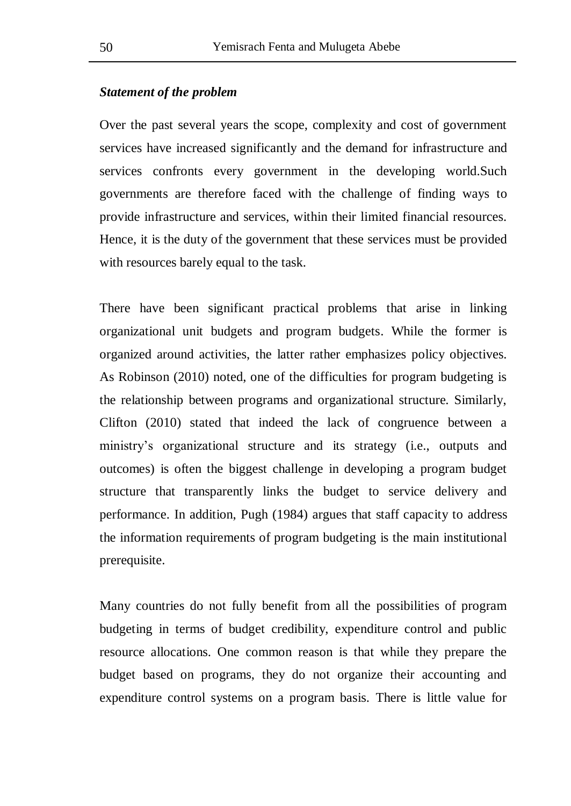### *Statement of the problem*

Over the past several years the scope, complexity and cost of government services have increased significantly and the demand for infrastructure and services confronts every government in the developing world.Such governments are therefore faced with the challenge of finding ways to provide infrastructure and services, within their limited financial resources. Hence, it is the duty of the government that these services must be provided with resources barely equal to the task.

There have been significant practical problems that arise in linking organizational unit budgets and program budgets. While the former is organized around activities, the latter rather emphasizes policy objectives. As Robinson (2010) noted, one of the difficulties for program budgeting is the relationship between programs and organizational structure. Similarly, Clifton (2010) stated that indeed the lack of congruence between a ministry's organizational structure and its strategy (i.e., outputs and outcomes) is often the biggest challenge in developing a program budget structure that transparently links the budget to service delivery and performance. In addition, Pugh (1984) argues that staff capacity to address the information requirements of program budgeting is the main institutional prerequisite.

Many countries do not fully benefit from all the possibilities of program budgeting in terms of budget credibility, expenditure control and public resource allocations. One common reason is that while they prepare the budget based on programs, they do not organize their accounting and expenditure control systems on a program basis. There is little value for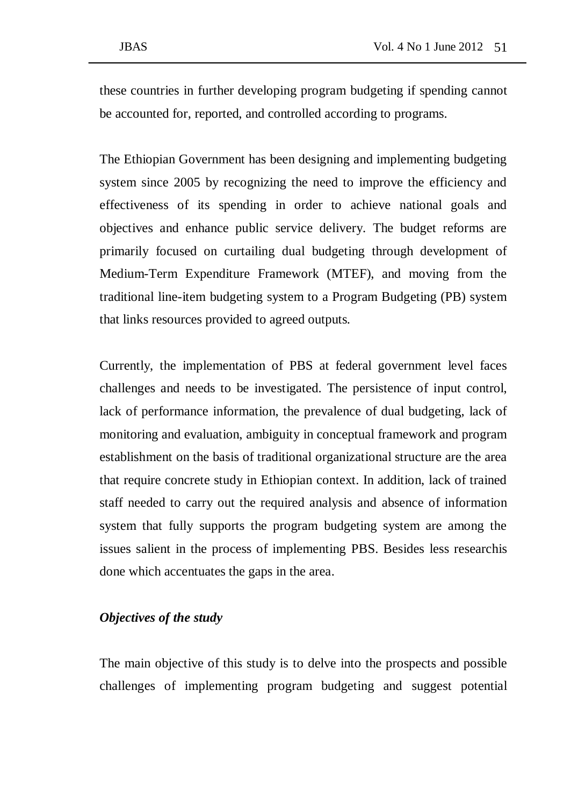these countries in further developing program budgeting if spending cannot be accounted for, reported, and controlled according to programs.

The Ethiopian Government has been designing and implementing budgeting system since 2005 by recognizing the need to improve the efficiency and effectiveness of its spending in order to achieve national goals and objectives and enhance public service delivery. The budget reforms are primarily focused on curtailing dual budgeting through development of Medium-Term Expenditure Framework (MTEF), and moving from the traditional line-item budgeting system to a Program Budgeting (PB) system that links resources provided to agreed outputs.

Currently, the implementation of PBS at federal government level faces challenges and needs to be investigated. The persistence of input control, lack of performance information, the prevalence of dual budgeting, lack of monitoring and evaluation, ambiguity in conceptual framework and program establishment on the basis of traditional organizational structure are the area that require concrete study in Ethiopian context. In addition, lack of trained staff needed to carry out the required analysis and absence of information system that fully supports the program budgeting system are among the issues salient in the process of implementing PBS. Besides less researchis done which accentuates the gaps in the area.

### *Objectives of the study*

The main objective of this study is to delve into the prospects and possible challenges of implementing program budgeting and suggest potential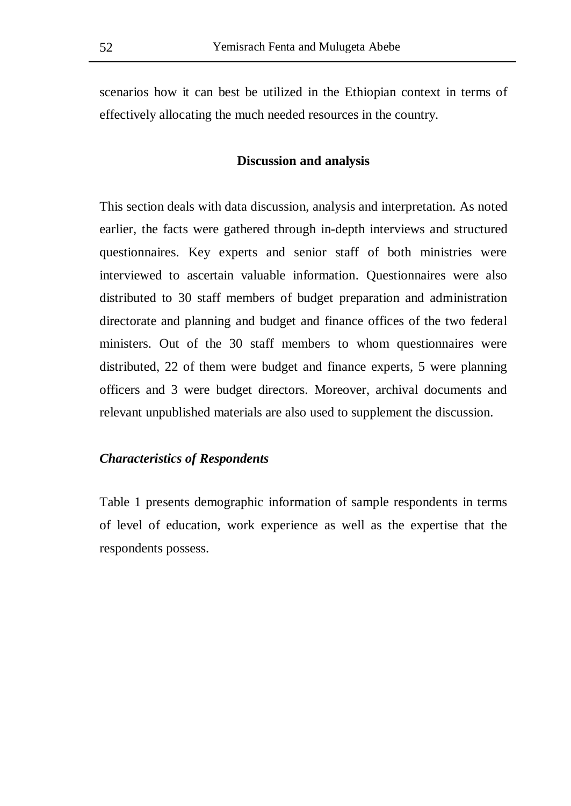scenarios how it can best be utilized in the Ethiopian context in terms of effectively allocating the much needed resources in the country.

### **Discussion and analysis**

This section deals with data discussion, analysis and interpretation. As noted earlier, the facts were gathered through in-depth interviews and structured questionnaires. Key experts and senior staff of both ministries were interviewed to ascertain valuable information. Questionnaires were also distributed to 30 staff members of budget preparation and administration directorate and planning and budget and finance offices of the two federal ministers. Out of the 30 staff members to whom questionnaires were distributed, 22 of them were budget and finance experts, 5 were planning officers and 3 were budget directors. Moreover, archival documents and relevant unpublished materials are also used to supplement the discussion.

### *Characteristics of Respondents*

Table 1 presents demographic information of sample respondents in terms of level of education, work experience as well as the expertise that the respondents possess.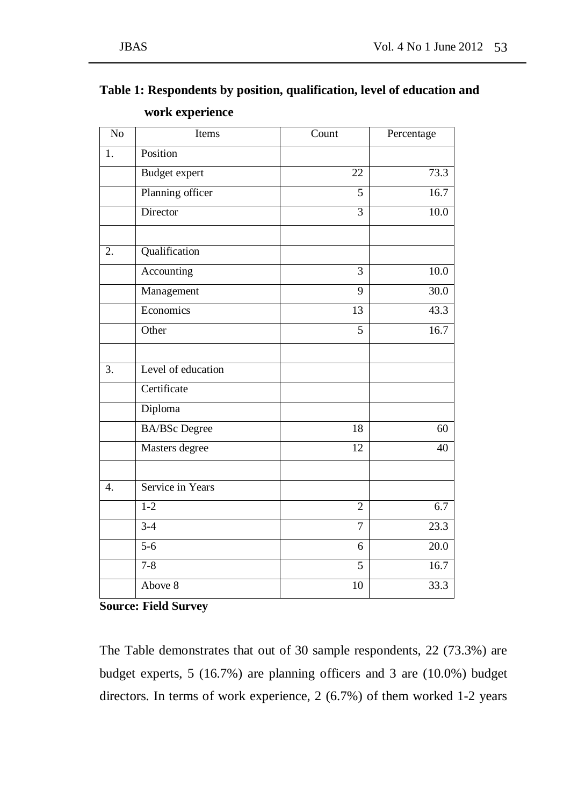| $\overline{No}$  | Items                | $\overline{C}$ ount | Percentage        |
|------------------|----------------------|---------------------|-------------------|
| 1.               | Position             |                     |                   |
|                  | <b>Budget</b> expert | $\overline{22}$     | 73.3              |
|                  | Planning officer     | 5                   | 16.7              |
|                  | Director             | 3                   | 10.0              |
| 2.               | Qualification        |                     |                   |
|                  | Accounting           | $\overline{3}$      | 10.0              |
|                  | Management           | $\overline{9}$      | 30.0              |
|                  | Economics            | 13                  | 43.3              |
|                  | Other                | $\overline{5}$      | 16.7              |
| $\overline{3}$ . | Level of education   |                     |                   |
|                  | Certificate          |                     |                   |
|                  | Diploma              |                     |                   |
|                  | <b>BA/BSc</b> Degree | 18                  | 60                |
|                  | Masters degree       | $\overline{12}$     | 40                |
| $\overline{4}$ . | Service in Years     |                     |                   |
|                  | $1 - 2$              | $\overline{2}$      | 6.7               |
|                  | $3-4$                | $\overline{7}$      | $\overline{23.3}$ |
|                  | $\overline{5-6}$     | 6                   | 20.0              |
|                  | $7 - 8$              | $\overline{5}$      | 16.7              |
|                  | Above 8              | 10                  | 33.3              |

# **Table 1: Respondents by position, qualification, level of education and work experience**

**Source: Field Survey**

The Table demonstrates that out of 30 sample respondents, 22 (73.3%) are budget experts, 5 (16.7%) are planning officers and 3 are (10.0%) budget directors. In terms of work experience, 2 (6.7%) of them worked 1-2 years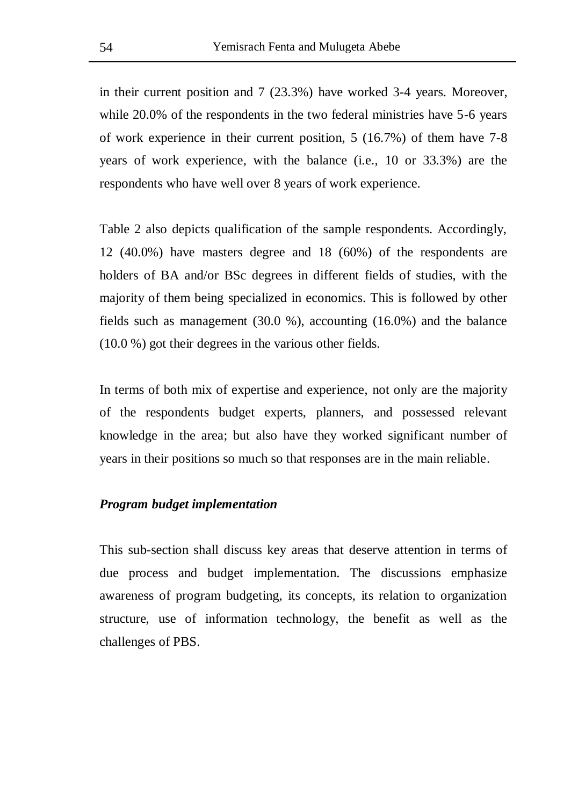in their current position and 7 (23.3%) have worked 3-4 years. Moreover, while 20.0% of the respondents in the two federal ministries have 5-6 years of work experience in their current position, 5 (16.7%) of them have 7-8 years of work experience, with the balance (i.e., 10 or 33.3%) are the respondents who have well over 8 years of work experience.

Table 2 also depicts qualification of the sample respondents. Accordingly, 12 (40.0%) have masters degree and 18 (60%) of the respondents are holders of BA and/or BSc degrees in different fields of studies, with the majority of them being specialized in economics. This is followed by other fields such as management (30.0 %), accounting (16.0%) and the balance (10.0 %) got their degrees in the various other fields.

In terms of both mix of expertise and experience, not only are the majority of the respondents budget experts, planners, and possessed relevant knowledge in the area; but also have they worked significant number of years in their positions so much so that responses are in the main reliable.

### *Program budget implementation*

This sub-section shall discuss key areas that deserve attention in terms of due process and budget implementation. The discussions emphasize awareness of program budgeting, its concepts, its relation to organization structure, use of information technology, the benefit as well as the challenges of PBS.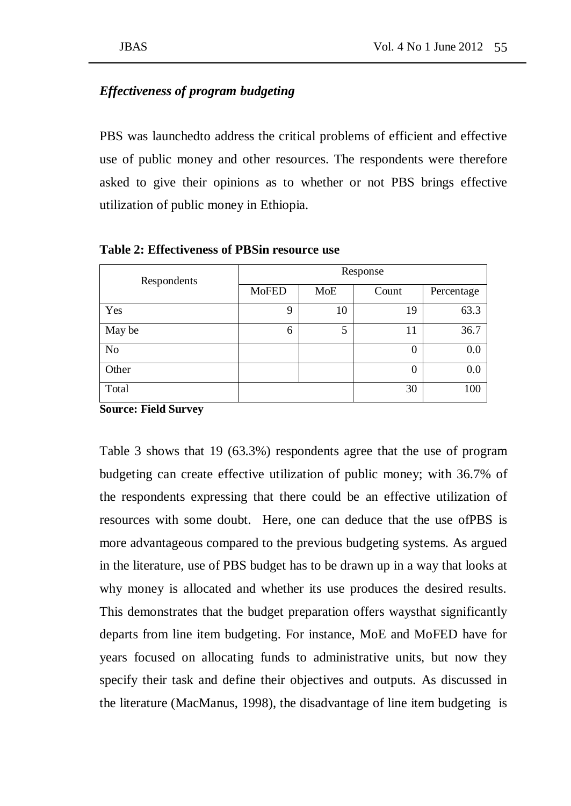## *Effectiveness of program budgeting*

PBS was launchedto address the critical problems of efficient and effective use of public money and other resources. The respondents were therefore asked to give their opinions as to whether or not PBS brings effective utilization of public money in Ethiopia.

| Respondents | Response     |            |          |            |  |  |  |  |
|-------------|--------------|------------|----------|------------|--|--|--|--|
|             | <b>MoFED</b> | <b>MoE</b> | Count    | Percentage |  |  |  |  |
| Yes         | 9            | 10         | 19       | 63.3       |  |  |  |  |
| May be      | 6            | 5          | 11       | 36.7       |  |  |  |  |
| No          |              |            | 0        | 0.0        |  |  |  |  |
| Other       |              |            | $\theta$ | 0.0        |  |  |  |  |
| Total       |              |            | 30       | 100        |  |  |  |  |

**Table 2: Effectiveness of PBSin resource use**

**Source: Field Survey** 

Table 3 shows that 19 (63.3%) respondents agree that the use of program budgeting can create effective utilization of public money; with 36.7% of the respondents expressing that there could be an effective utilization of resources with some doubt. Here, one can deduce that the use ofPBS is more advantageous compared to the previous budgeting systems. As argued in the literature, use of PBS budget has to be drawn up in a way that looks at why money is allocated and whether its use produces the desired results. This demonstrates that the budget preparation offers waysthat significantly departs from line item budgeting. For instance, MoE and MoFED have for years focused on allocating funds to administrative units, but now they specify their task and define their objectives and outputs. As discussed in the literature (MacManus, 1998), the disadvantage of line item budgeting is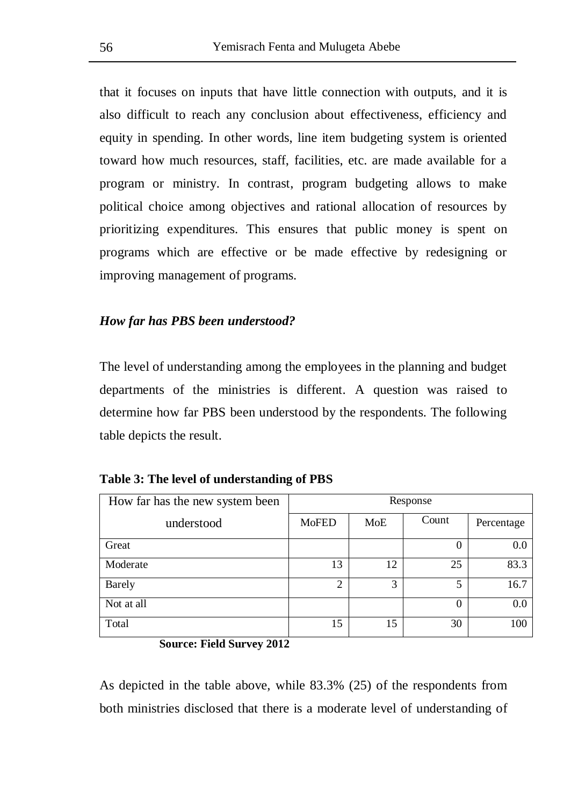that it focuses on inputs that have little connection with outputs, and it is also difficult to reach any conclusion about effectiveness, efficiency and equity in spending. In other words, line item budgeting system is oriented toward how much resources, staff, facilities, etc. are made available for a program or ministry. In contrast, program budgeting allows to make political choice among objectives and rational allocation of resources by prioritizing expenditures. This ensures that public money is spent on programs which are effective or be made effective by redesigning or improving management of programs.

### *How far has PBS been understood?*

The level of understanding among the employees in the planning and budget departments of the ministries is different. A question was raised to determine how far PBS been understood by the respondents. The following table depicts the result.

|  |  |  |  | Table 3: The level of understanding of PBS |  |  |
|--|--|--|--|--------------------------------------------|--|--|
|--|--|--|--|--------------------------------------------|--|--|

| How far has the new system been | Response       |     |          |            |  |  |
|---------------------------------|----------------|-----|----------|------------|--|--|
| understood                      | <b>MoFED</b>   | MoE | Count    | Percentage |  |  |
| Great                           |                |     | 0        | 0.0        |  |  |
| Moderate                        | 13             | 12  | 25       | 83.3       |  |  |
| <b>Barely</b>                   | $\overline{2}$ | 3   | 5        | 16.7       |  |  |
| Not at all                      |                |     | $\theta$ | 0.0        |  |  |
| Total                           | 15             | 15  | 30       | 100        |  |  |

**Source: Field Survey 2012** 

As depicted in the table above, while 83.3% (25) of the respondents from both ministries disclosed that there is a moderate level of understanding of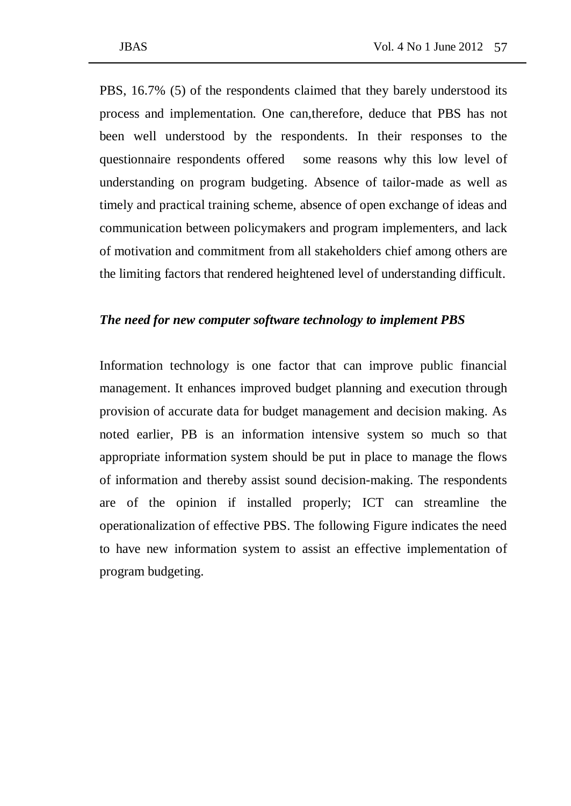PBS, 16.7% (5) of the respondents claimed that they barely understood its process and implementation. One can,therefore, deduce that PBS has not been well understood by the respondents. In their responses to the questionnaire respondents offered some reasons why this low level of understanding on program budgeting. Absence of tailor-made as well as timely and practical training scheme, absence of open exchange of ideas and communication between policymakers and program implementers, and lack of motivation and commitment from all stakeholders chief among others are the limiting factors that rendered heightened level of understanding difficult.

### *The need for new computer software technology to implement PBS*

Information technology is one factor that can improve public financial management. It enhances improved budget planning and execution through provision of accurate data for budget management and decision making. As noted earlier, PB is an information intensive system so much so that appropriate information system should be put in place to manage the flows of information and thereby assist sound decision-making. The respondents are of the opinion if installed properly; ICT can streamline the operationalization of effective PBS. The following Figure indicates the need to have new information system to assist an effective implementation of program budgeting.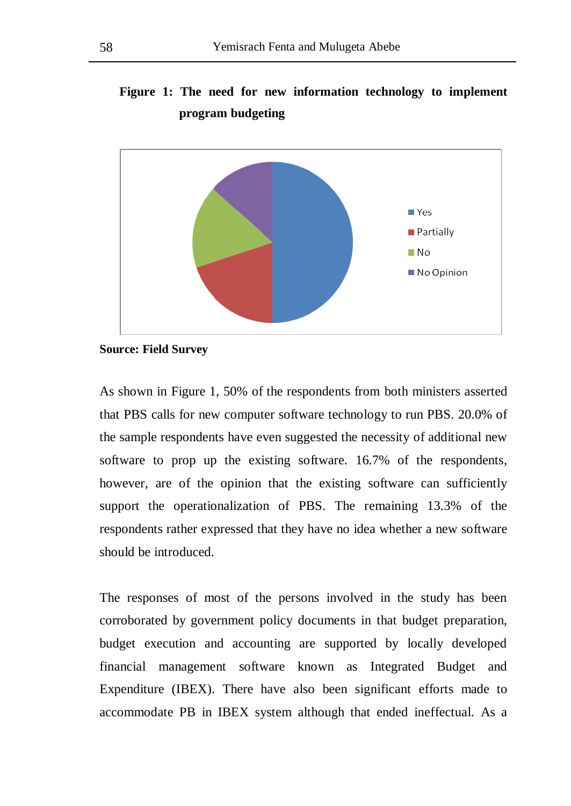# **Figure 1: The need for new information technology to implement program budgeting**



**Source: Field Survey**

As shown in Figure 1, 50% of the respondents from both ministers asserted that PBS calls for new computer software technology to run PBS. 20.0% of the sample respondents have even suggested the necessity of additional new software to prop up the existing software. 16.7% of the respondents, however, are of the opinion that the existing software can sufficiently support the operationalization of PBS. The remaining 13.3% of the respondents rather expressed that they have no idea whether a new software should be introduced.

The responses of most of the persons involved in the study has been corroborated by government policy documents in that budget preparation, budget execution and accounting are supported by locally developed financial management software known as Integrated Budget and Expenditure (IBEX). There have also been significant efforts made to accommodate PB in IBEX system although that ended ineffectual. As a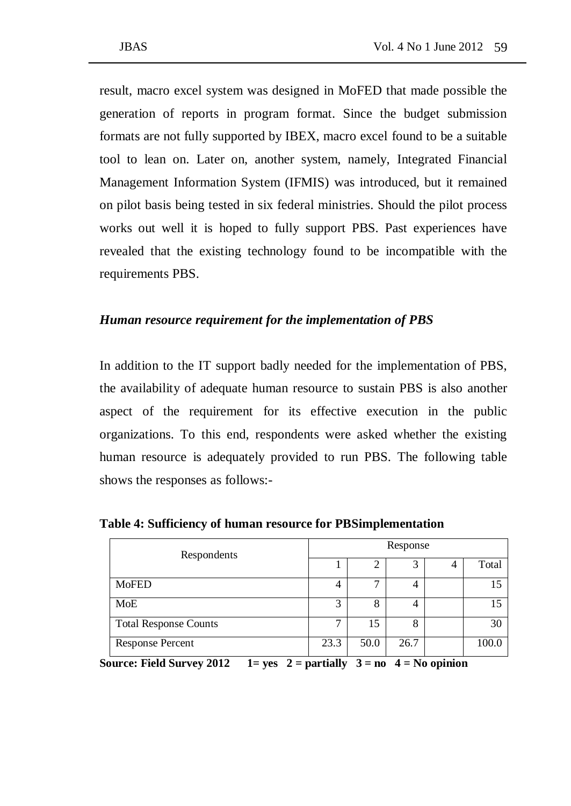result, macro excel system was designed in MoFED that made possible the generation of reports in program format. Since the budget submission formats are not fully supported by IBEX, macro excel found to be a suitable tool to lean on. Later on, another system, namely, Integrated Financial Management Information System (IFMIS) was introduced, but it remained on pilot basis being tested in six federal ministries. Should the pilot process works out well it is hoped to fully support PBS. Past experiences have revealed that the existing technology found to be incompatible with the requirements PBS.

### *Human resource requirement for the implementation of PBS*

In addition to the IT support badly needed for the implementation of PBS, the availability of adequate human resource to sustain PBS is also another aspect of the requirement for its effective execution in the public organizations. To this end, respondents were asked whether the existing human resource is adequately provided to run PBS. The following table shows the responses as follows:-

| Respondents                  | Response |      |      |  |       |  |
|------------------------------|----------|------|------|--|-------|--|
|                              |          |      |      |  | Total |  |
| <b>MoFED</b>                 |          | −    | 4    |  | 15    |  |
| MoE                          | 3        | 8    | 4    |  | 15    |  |
| <b>Total Response Counts</b> | −        | 15   | 8    |  | 30    |  |
| <b>Response Percent</b>      | 23.3     | 50.0 | 26.7 |  | 100.0 |  |

**Table 4: Sufficiency of human resource for PBSimplementation** 

**Source: Field Survey 2012**  $1=$  yes  $2=$  partially  $3=$  no  $4=$  No opinion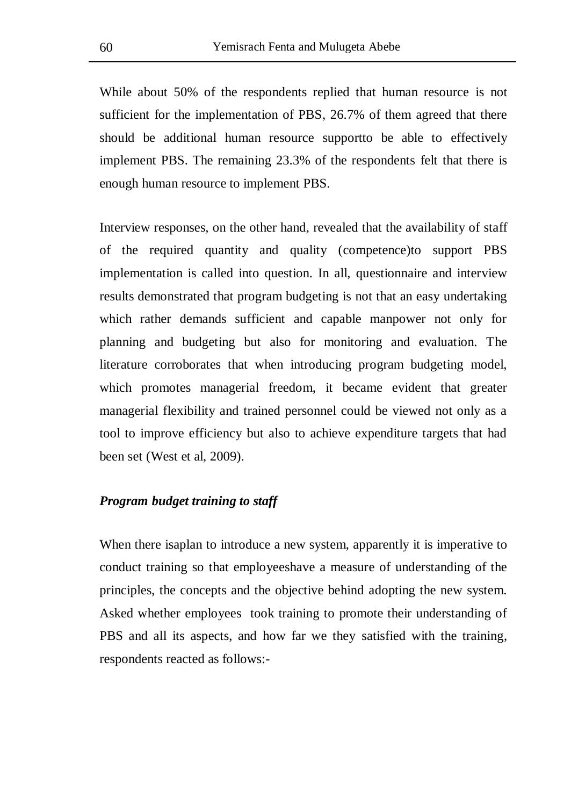While about 50% of the respondents replied that human resource is not sufficient for the implementation of PBS, 26.7% of them agreed that there should be additional human resource supportto be able to effectively implement PBS. The remaining 23.3% of the respondents felt that there is enough human resource to implement PBS.

Interview responses, on the other hand, revealed that the availability of staff of the required quantity and quality (competence)to support PBS implementation is called into question. In all, questionnaire and interview results demonstrated that program budgeting is not that an easy undertaking which rather demands sufficient and capable manpower not only for planning and budgeting but also for monitoring and evaluation. The literature corroborates that when introducing program budgeting model, which promotes managerial freedom, it became evident that greater managerial flexibility and trained personnel could be viewed not only as a tool to improve efficiency but also to achieve expenditure targets that had been set (West et al, 2009).

### *Program budget training to staff*

When there isaplan to introduce a new system, apparently it is imperative to conduct training so that employeeshave a measure of understanding of the principles, the concepts and the objective behind adopting the new system. Asked whether employees took training to promote their understanding of PBS and all its aspects, and how far we they satisfied with the training, respondents reacted as follows:-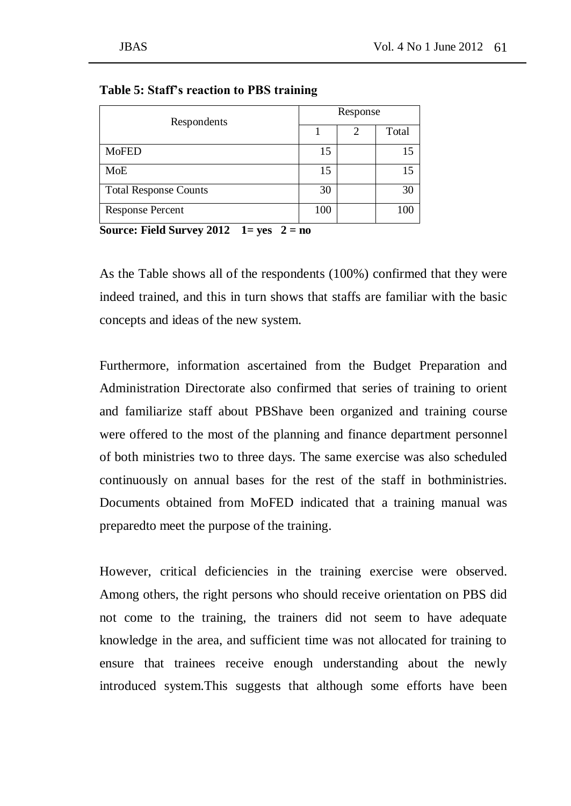| Respondents                  | Response |   |       |  |
|------------------------------|----------|---|-------|--|
|                              |          | 2 | Total |  |
| <b>MoFED</b>                 | 15       |   | 15    |  |
| MoE                          | 15       |   | 15    |  |
| <b>Total Response Counts</b> | 30       |   | 30    |  |
| <b>Response Percent</b><br>. | 100      |   | 100   |  |

**Table 5: Staff's reaction to PBS training**

**Source: Field Survey 2012 1= yes 2 = no** 

As the Table shows all of the respondents (100%) confirmed that they were indeed trained, and this in turn shows that staffs are familiar with the basic concepts and ideas of the new system.

Furthermore, information ascertained from the Budget Preparation and Administration Directorate also confirmed that series of training to orient and familiarize staff about PBShave been organized and training course were offered to the most of the planning and finance department personnel of both ministries two to three days. The same exercise was also scheduled continuously on annual bases for the rest of the staff in bothministries. Documents obtained from MoFED indicated that a training manual was preparedto meet the purpose of the training.

However, critical deficiencies in the training exercise were observed. Among others, the right persons who should receive orientation on PBS did not come to the training, the trainers did not seem to have adequate knowledge in the area, and sufficient time was not allocated for training to ensure that trainees receive enough understanding about the newly introduced system.This suggests that although some efforts have been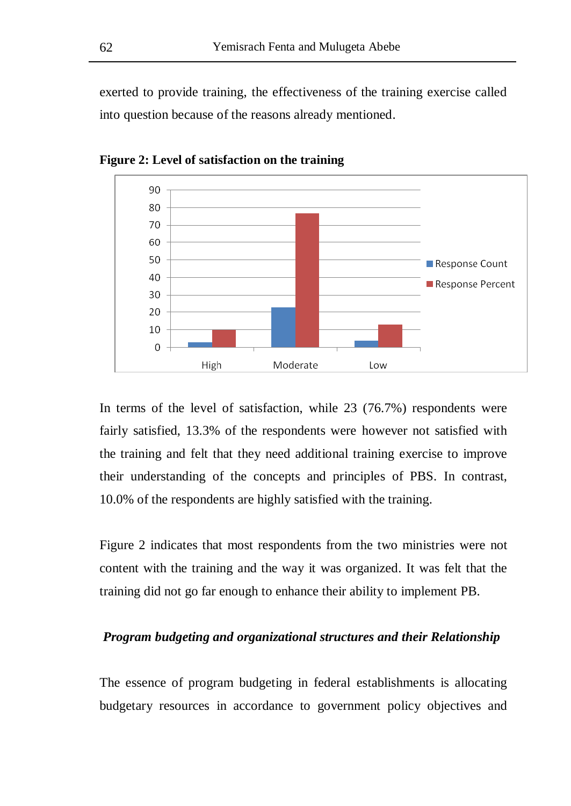exerted to provide training, the effectiveness of the training exercise called into question because of the reasons already mentioned.



**Figure 2: Level of satisfaction on the training**

In terms of the level of satisfaction, while 23 (76.7%) respondents were fairly satisfied, 13.3% of the respondents were however not satisfied with the training and felt that they need additional training exercise to improve their understanding of the concepts and principles of PBS. In contrast, 10.0% of the respondents are highly satisfied with the training.

Figure 2 indicates that most respondents from the two ministries were not content with the training and the way it was organized. It was felt that the training did not go far enough to enhance their ability to implement PB.

### *Program budgeting and organizational structures and their Relationship*

The essence of program budgeting in federal establishments is allocating budgetary resources in accordance to government policy objectives and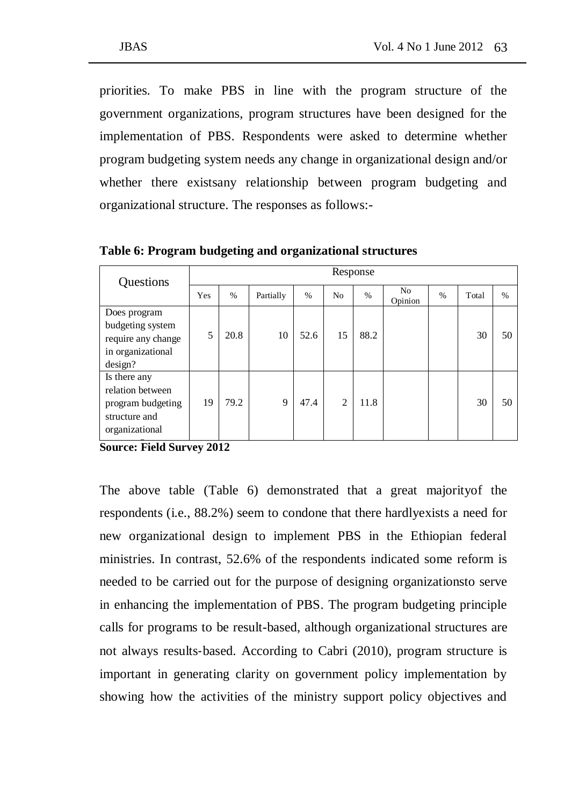priorities. To make PBS in line with the program structure of the government organizations, program structures have been designed for the implementation of PBS. Respondents were asked to determine whether program budgeting system needs any change in organizational design and/or whether there existsany relationship between program budgeting and organizational structure. The responses as follows:-

**Ouestions** Response Yes % Partially % No % No Opinion % Total % Does program budgeting system require any change in organizational design? 5 | 20.8 | 10 | 52.6 | 15 | 88.2 | | | 30 | 50 Is there any relation between program budgeting structure and organizational 19 79.2 9 47.4 2 11.8 1 30 50

**Table 6: Program budgeting and organizational structures** 

**Source: Field Survey 2012** 

The above table (Table 6) demonstrated that a great majorityof the respondents (i.e., 88.2%) seem to condone that there hardlyexists a need for new organizational design to implement PBS in the Ethiopian federal ministries. In contrast, 52.6% of the respondents indicated some reform is needed to be carried out for the purpose of designing organizationsto serve in enhancing the implementation of PBS. The program budgeting principle calls for programs to be result-based, although organizational structures are not always results‐based. According to Cabri (2010), program structure is important in generating clarity on government policy implementation by showing how the activities of the ministry support policy objectives and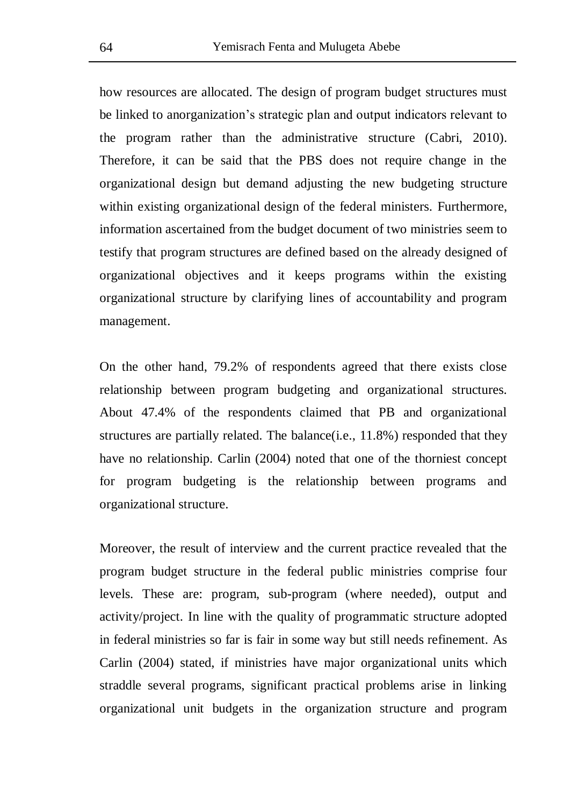how resources are allocated. The design of program budget structures must be linked to anorganization's strategic plan and output indicators relevant to the program rather than the administrative structure (Cabri, 2010). Therefore, it can be said that the PBS does not require change in the organizational design but demand adjusting the new budgeting structure within existing organizational design of the federal ministers. Furthermore, information ascertained from the budget document of two ministries seem to testify that program structures are defined based on the already designed of organizational objectives and it keeps programs within the existing organizational structure by clarifying lines of accountability and program management.

On the other hand, 79.2% of respondents agreed that there exists close relationship between program budgeting and organizational structures. About 47.4% of the respondents claimed that PB and organizational structures are partially related. The balance(i.e., 11.8%) responded that they have no relationship. Carlin (2004) noted that one of the thorniest concept for program budgeting is the relationship between programs and organizational structure.

Moreover, the result of interview and the current practice revealed that the program budget structure in the federal public ministries comprise four levels. These are: program, sub-program (where needed), output and activity/project. In line with the quality of programmatic structure adopted in federal ministries so far is fair in some way but still needs refinement. As Carlin (2004) stated, if ministries have major organizational units which straddle several programs, significant practical problems arise in linking organizational unit budgets in the organization structure and program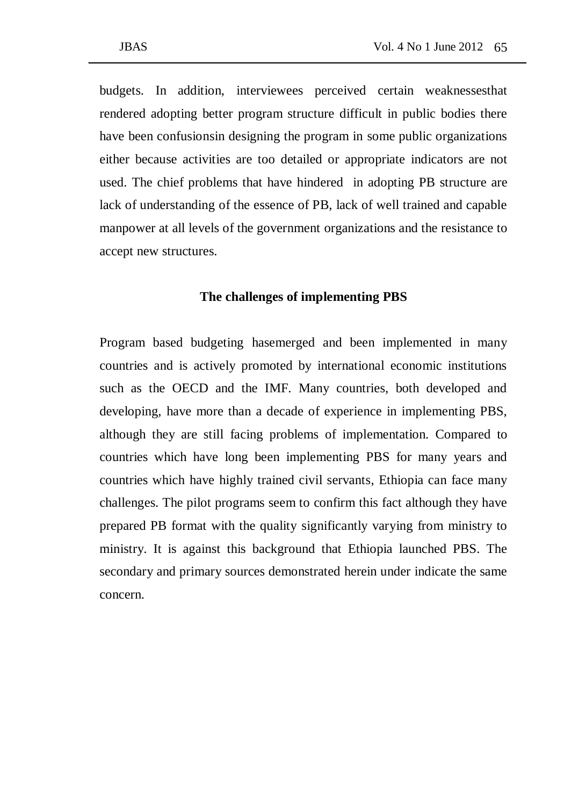budgets. In addition, interviewees perceived certain weaknessesthat rendered adopting better program structure difficult in public bodies there have been confusionsin designing the program in some public organizations either because activities are too detailed or appropriate indicators are not used. The chief problems that have hindered in adopting PB structure are lack of understanding of the essence of PB, lack of well trained and capable manpower at all levels of the government organizations and the resistance to accept new structures.

### **The challenges of implementing PBS**

Program based budgeting hasemerged and been implemented in many countries and is actively promoted by international economic institutions such as the OECD and the IMF. Many countries, both developed and developing, have more than a decade of experience in implementing PBS, although they are still facing problems of implementation. Compared to countries which have long been implementing PBS for many years and countries which have highly trained civil servants, Ethiopia can face many challenges. The pilot programs seem to confirm this fact although they have prepared PB format with the quality significantly varying from ministry to ministry. It is against this background that Ethiopia launched PBS. The secondary and primary sources demonstrated herein under indicate the same concern.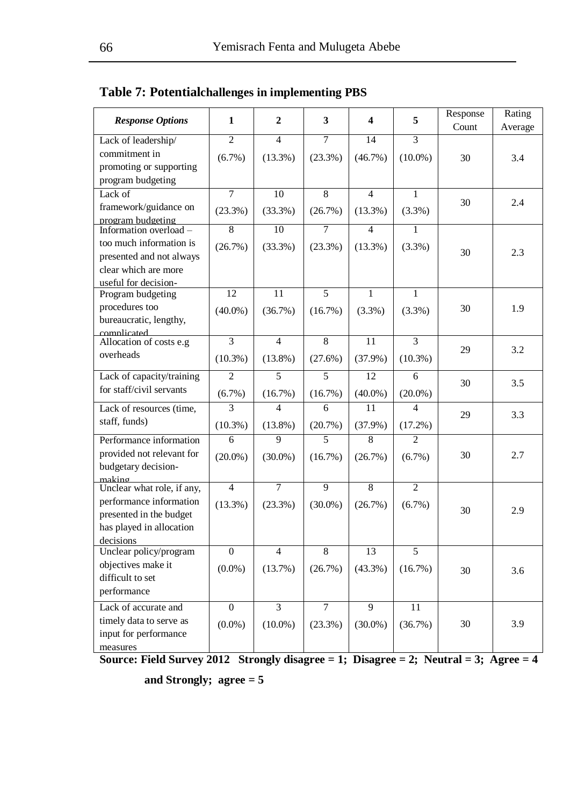| <b>Response Options</b>                             | 1                        | $\overline{2}$  | $\overline{\mathbf{3}}$ | 4               | 5              | Response<br>Count | Rating<br>Average |
|-----------------------------------------------------|--------------------------|-----------------|-------------------------|-----------------|----------------|-------------------|-------------------|
| Lack of leadership/                                 | $\overline{\mathcal{L}}$ | $\overline{4}$  | $\overline{7}$          | 14              | 3              |                   |                   |
| commitment in<br>promoting or supporting            | (6.7%)                   | $(13.3\%)$      | (23.3%)                 | $(46.7\%)$      | $(10.0\%)$     | 30                | 3.4               |
| program budgeting                                   |                          |                 |                         |                 |                |                   |                   |
| Lack of                                             | $\overline{7}$           | 10              | 8                       | $\overline{4}$  | $\mathbf{1}$   |                   |                   |
| framework/guidance on<br>program budgeting          | $(23.3\%)$               | $(33.3\%)$      | (26.7%)                 | $(13.3\%)$      | (3.3%)         | 30                | 2.4               |
| Information overload -                              | 8                        | $\overline{10}$ | $\overline{7}$          | $\overline{4}$  | 1              |                   |                   |
| too much information is<br>presented and not always | (26.7%)                  | (33.3%)         | (23.3%)                 | $(13.3\%)$      | (3.3%)         | 30                | 2.3               |
| clear which are more<br>useful for decision-        |                          |                 |                         |                 |                |                   |                   |
| Program budgeting                                   | 12                       | $\overline{11}$ | 5                       | $\mathbf{1}$    | $\mathbf{1}$   |                   |                   |
| procedures too<br>bureaucratic, lengthy,            | $(40.0\%)$               | (36.7%)         | $(16.7\%)$              | (3.3%)          | (3.3%)         | 30                | 1.9               |
|                                                     |                          |                 |                         |                 |                |                   |                   |
| complicated<br>Allocation of costs e.g              | $\overline{3}$           | $\overline{4}$  | $\overline{8}$          | $\overline{11}$ | $\overline{3}$ | 29                | 3.2               |
| overheads                                           | $(10.3\%)$               | $(13.8\%)$      | (27.6%)                 | $(37.9\%)$      | $(10.3\%)$     |                   |                   |
| Lack of capacity/training                           | $\overline{2}$           | 5               | 5                       | $\overline{12}$ | 6              | 30                | 3.5               |
| for staff/civil servants                            | $(6.7\%)$                | $(16.7\%)$      | $(16.7\%)$              | $(40.0\%)$      | $(20.0\%)$     |                   |                   |
| Lack of resources (time,                            | 3                        | 4               | 6                       | 11              | 4              | 29                | 3.3               |
| staff, funds)                                       | $(10.3\%)$               | $(13.8\%)$      | (20.7%)                 | $(37.9\%)$      | $(17.2\%)$     |                   |                   |
| Performance information                             | 6                        | 9               | 5                       | 8               | $\overline{c}$ |                   |                   |
| provided not relevant for<br>budgetary decision-    | $(20.0\%)$               | $(30.0\%)$      | $(16.7\%)$              | (26.7%)         | $(6.7\%)$      | 30                | 2.7               |
| makino<br>Unclear what role, if any,                | $\overline{4}$           | 7               | 9                       | 8               | $\overline{2}$ |                   |                   |
| performance information                             | $(13.3\%)$               | (23.3%)         | $(30.0\%)$              | (26.7%)         | $(6.7\%)$      |                   |                   |
| presented in the budget                             |                          |                 |                         |                 |                | 30                | 2.9               |
| has played in allocation                            |                          |                 |                         |                 |                |                   |                   |
| decisions                                           | $\theta$                 | $\overline{4}$  | 8                       | 13              | 5              |                   |                   |
| Unclear policy/program<br>objectives make it        |                          |                 |                         |                 |                |                   |                   |
| difficult to set                                    | $(0.0\%)$                | (13.7%)         | (26.7%)                 | $(43.3\%)$      | $(16.7\%)$     | 30                | 3.6               |
| performance                                         |                          |                 |                         |                 |                |                   |                   |
| Lack of accurate and                                | $\Omega$                 | 3               | $\overline{7}$          | 9               | 11             |                   |                   |
| timely data to serve as                             | $(0.0\%)$                | $(10.0\%)$      | (23.3%)                 | $(30.0\%)$      | (36.7%)        | 30                | 3.9               |
| input for performance                               |                          |                 |                         |                 |                |                   |                   |
| measures                                            |                          |                 |                         |                 |                |                   |                   |

**Table 7: Potentialchallenges in implementing PBS**

**Source: Field Survey 2012 Strongly disagree = 1; Disagree = 2; Neutral = 3; Agree = 4** 

**and Strongly; agree = 5**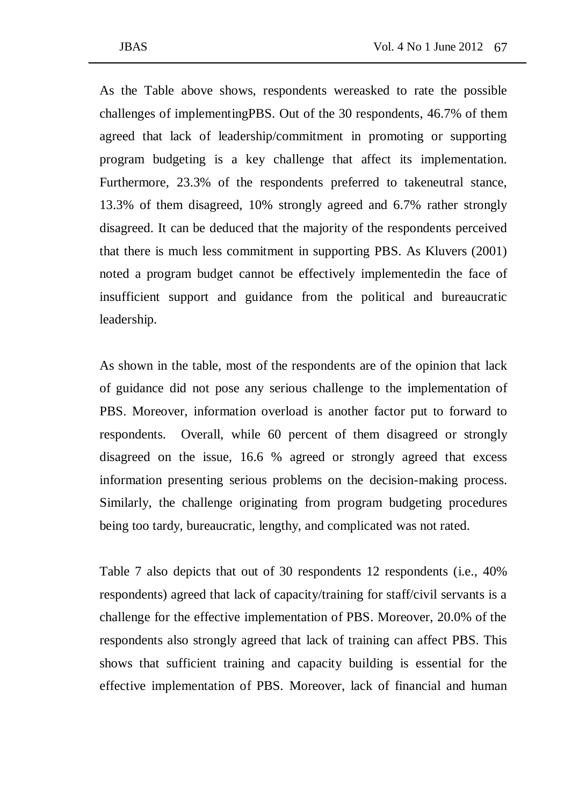challenges of implementingPBS. Out of the 30 respondents, 46.7% of them agreed that lack of leadership/commitment in promoting or supporting program budgeting is a key challenge that affect its implementation. Furthermore, 23.3% of the respondents preferred to takeneutral stance, 13.3% of them disagreed, 10% strongly agreed and 6.7% rather strongly disagreed. It can be deduced that the majority of the respondents perceived that there is much less commitment in supporting PBS. As Kluvers (2001) noted a program budget cannot be effectively implementedin the face of insufficient support and guidance from the political and bureaucratic leadership.

As shown in the table, most of the respondents are of the opinion that lack of guidance did not pose any serious challenge to the implementation of PBS. Moreover, information overload is another factor put to forward to respondents. Overall, while 60 percent of them disagreed or strongly disagreed on the issue, 16.6 % agreed or strongly agreed that excess information presenting serious problems on the decision-making process. Similarly, the challenge originating from program budgeting procedures being too tardy, bureaucratic, lengthy, and complicated was not rated.

Table 7 also depicts that out of 30 respondents 12 respondents (i.e., 40% respondents) agreed that lack of capacity/training for staff/civil servants is a challenge for the effective implementation of PBS. Moreover, 20.0% of the respondents also strongly agreed that lack of training can affect PBS. This shows that sufficient training and capacity building is essential for the effective implementation of PBS. Moreover, lack of financial and human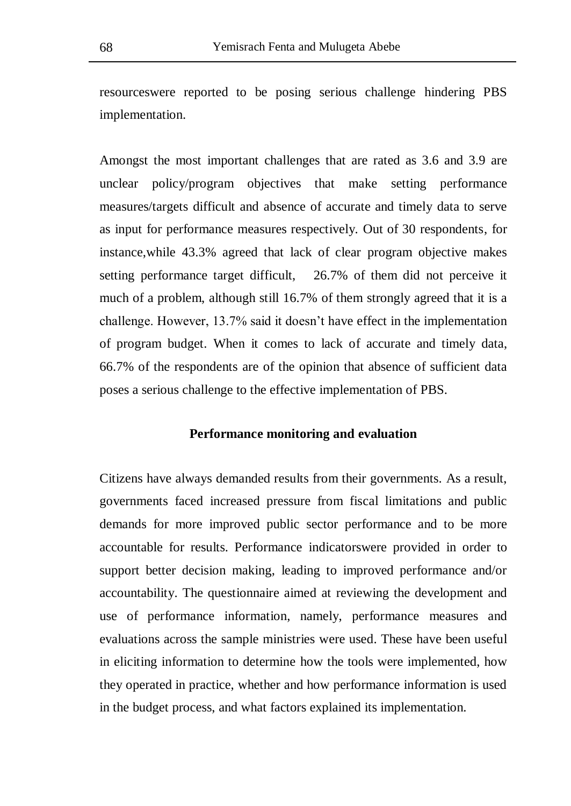resourceswere reported to be posing serious challenge hindering PBS implementation.

Amongst the most important challenges that are rated as 3.6 and 3.9 are unclear policy/program objectives that make setting performance measures/targets difficult and absence of accurate and timely data to serve as input for performance measures respectively. Out of 30 respondents, for instance,while 43.3% agreed that lack of clear program objective makes setting performance target difficult, 26.7% of them did not perceive it much of a problem, although still 16.7% of them strongly agreed that it is a challenge. However, 13.7% said it doesn't have effect in the implementation of program budget. When it comes to lack of accurate and timely data, 66.7% of the respondents are of the opinion that absence of sufficient data poses a serious challenge to the effective implementation of PBS.

### **Performance monitoring and evaluation**

Citizens have always demanded results from their governments. As a result, governments faced increased pressure from fiscal limitations and public demands for more improved public sector performance and to be more accountable for results. Performance indicatorswere provided in order to support better decision making, leading to improved performance and/or accountability. The questionnaire aimed at reviewing the development and use of performance information, namely, performance measures and evaluations across the sample ministries were used. These have been useful in eliciting information to determine how the tools were implemented, how they operated in practice, whether and how performance information is used in the budget process, and what factors explained its implementation.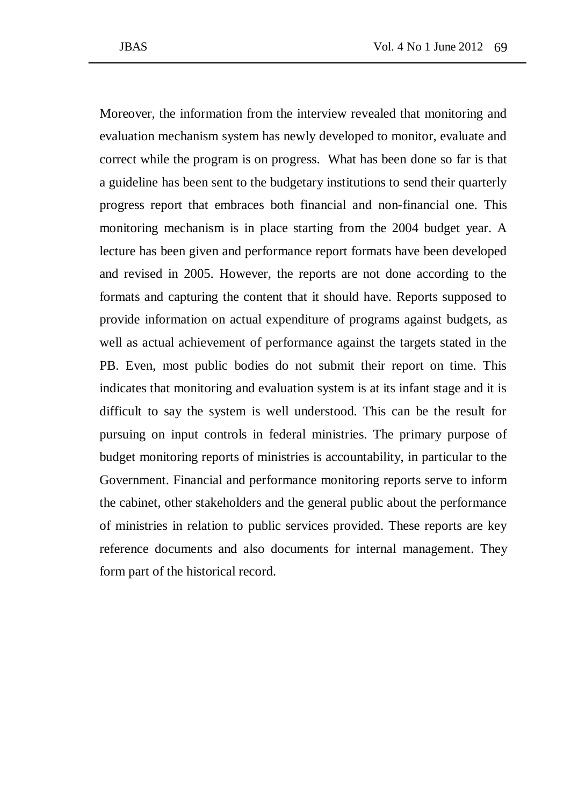Moreover, the information from the interview revealed that monitoring and evaluation mechanism system has newly developed to monitor, evaluate and correct while the program is on progress. What has been done so far is that a guideline has been sent to the budgetary institutions to send their quarterly progress report that embraces both financial and non-financial one. This monitoring mechanism is in place starting from the 2004 budget year. A lecture has been given and performance report formats have been developed and revised in 2005. However, the reports are not done according to the formats and capturing the content that it should have. Reports supposed to provide information on actual expenditure of programs against budgets, as well as actual achievement of performance against the targets stated in the PB. Even, most public bodies do not submit their report on time. This indicates that monitoring and evaluation system is at its infant stage and it is difficult to say the system is well understood. This can be the result for pursuing on input controls in federal ministries. The primary purpose of budget monitoring reports of ministries is accountability, in particular to the Government. Financial and performance monitoring reports serve to inform the cabinet, other stakeholders and the general public about the performance of ministries in relation to public services provided. These reports are key reference documents and also documents for internal management. They form part of the historical record.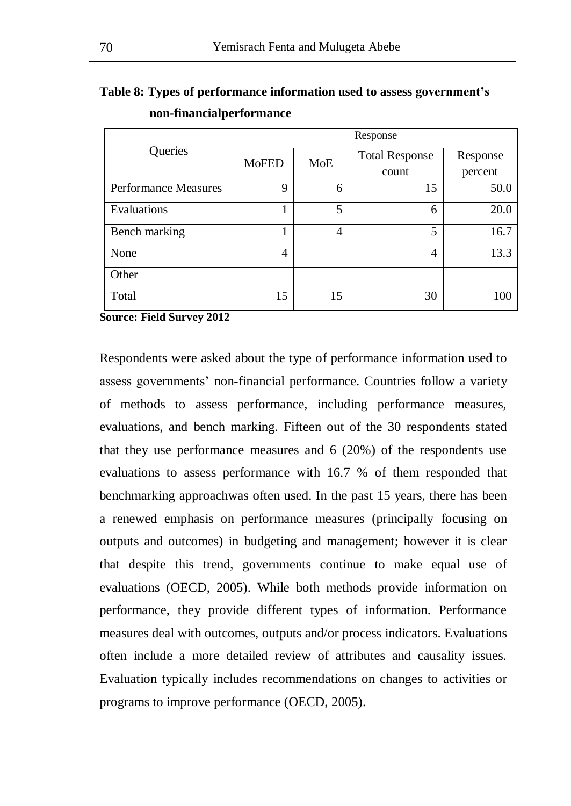|                             | Response       |            |                       |          |  |  |  |
|-----------------------------|----------------|------------|-----------------------|----------|--|--|--|
| Queries                     | <b>MoFED</b>   | <b>MoE</b> | <b>Total Response</b> | Response |  |  |  |
|                             |                |            | count                 | percent  |  |  |  |
| <b>Performance Measures</b> | 9              | 6          | 15                    | 50.0     |  |  |  |
| Evaluations                 |                | 5          | 6                     | 20.0     |  |  |  |
| Bench marking               |                | 4          | 5                     | 16.7     |  |  |  |
| None                        | $\overline{4}$ |            | 4                     | 13.3     |  |  |  |
| Other                       |                |            |                       |          |  |  |  |
| Total                       | 15             | 15         | 30                    | 100      |  |  |  |

# **Table 8: Types of performance information used to assess government's non-financialperformance**

**Source: Field Survey 2012** 

Respondents were asked about the type of performance information used to assess governments' non-financial performance. Countries follow a variety of methods to assess performance, including performance measures, evaluations, and bench marking. Fifteen out of the 30 respondents stated that they use performance measures and 6 (20%) of the respondents use evaluations to assess performance with 16.7 % of them responded that benchmarking approachwas often used. In the past 15 years, there has been a renewed emphasis on performance measures (principally focusing on outputs and outcomes) in budgeting and management; however it is clear that despite this trend, governments continue to make equal use of evaluations (OECD, 2005). While both methods provide information on performance, they provide different types of information. Performance measures deal with outcomes, outputs and/or process indicators. Evaluations often include a more detailed review of attributes and causality issues. Evaluation typically includes recommendations on changes to activities or programs to improve performance (OECD, 2005).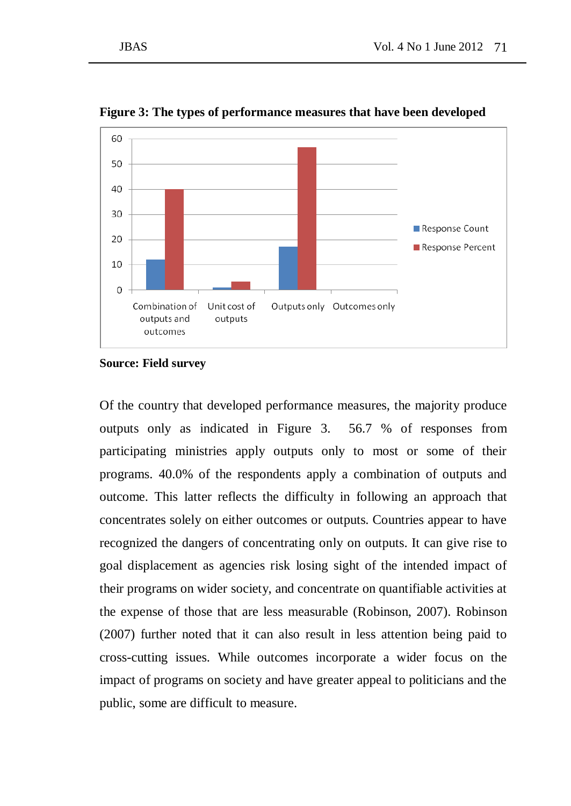

**Figure 3: The types of performance measures that have been developed**

#### **Source: Field survey**

Of the country that developed performance measures, the majority produce outputs only as indicated in Figure 3. 56.7 % of responses from participating ministries apply outputs only to most or some of their programs. 40.0% of the respondents apply a combination of outputs and outcome. This latter reflects the difficulty in following an approach that concentrates solely on either outcomes or outputs. Countries appear to have recognized the dangers of concentrating only on outputs. It can give rise to goal displacement as agencies risk losing sight of the intended impact of their programs on wider society, and concentrate on quantifiable activities at the expense of those that are less measurable (Robinson, 2007). Robinson (2007) further noted that it can also result in less attention being paid to cross-cutting issues. While outcomes incorporate a wider focus on the impact of programs on society and have greater appeal to politicians and the public, some are difficult to measure.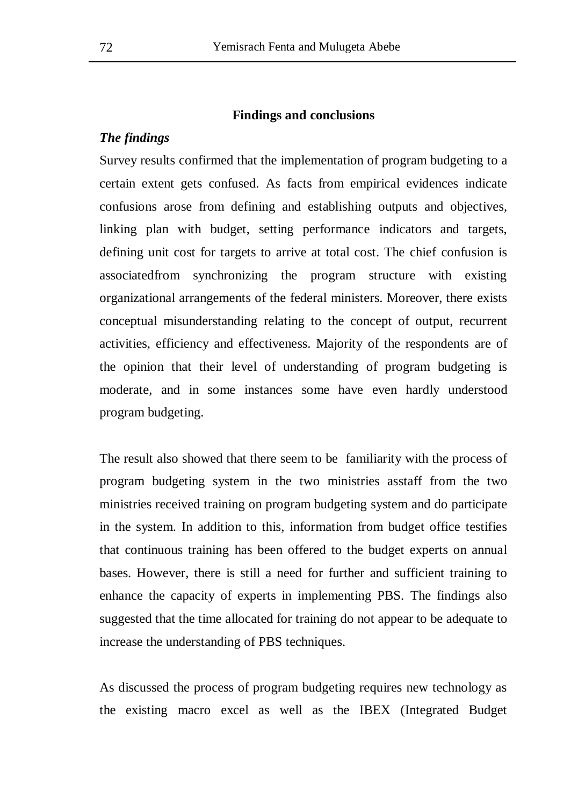### **Findings and conclusions**

### *The findings*

Survey results confirmed that the implementation of program budgeting to a certain extent gets confused. As facts from empirical evidences indicate confusions arose from defining and establishing outputs and objectives, linking plan with budget, setting performance indicators and targets, defining unit cost for targets to arrive at total cost. The chief confusion is associatedfrom synchronizing the program structure with existing organizational arrangements of the federal ministers. Moreover, there exists conceptual misunderstanding relating to the concept of output, recurrent activities, efficiency and effectiveness. Majority of the respondents are of the opinion that their level of understanding of program budgeting is moderate, and in some instances some have even hardly understood program budgeting.

The result also showed that there seem to be familiarity with the process of program budgeting system in the two ministries asstaff from the two ministries received training on program budgeting system and do participate in the system. In addition to this, information from budget office testifies that continuous training has been offered to the budget experts on annual bases. However, there is still a need for further and sufficient training to enhance the capacity of experts in implementing PBS. The findings also suggested that the time allocated for training do not appear to be adequate to increase the understanding of PBS techniques.

As discussed the process of program budgeting requires new technology as the existing macro excel as well as the IBEX (Integrated Budget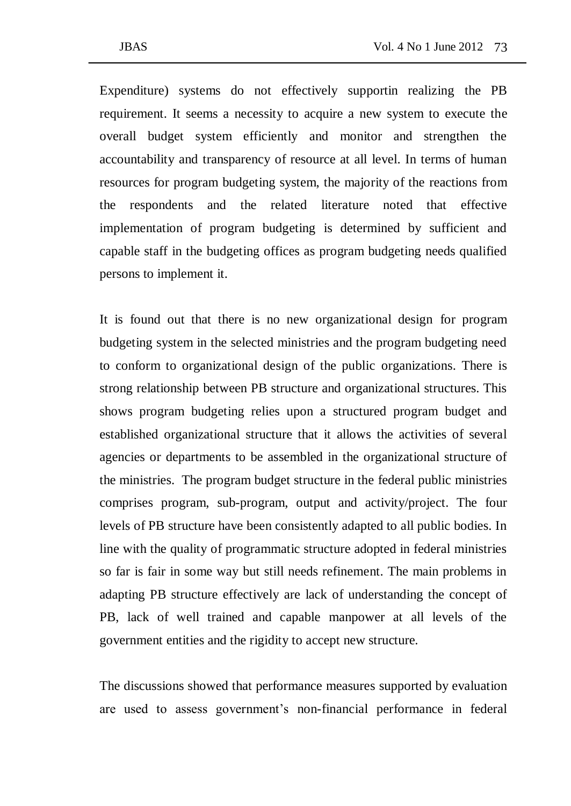Expenditure) systems do not effectively supportin realizing the PB requirement. It seems a necessity to acquire a new system to execute the overall budget system efficiently and monitor and strengthen the accountability and transparency of resource at all level. In terms of human resources for program budgeting system, the majority of the reactions from the respondents and the related literature noted that effective implementation of program budgeting is determined by sufficient and capable staff in the budgeting offices as program budgeting needs qualified persons to implement it.

It is found out that there is no new organizational design for program budgeting system in the selected ministries and the program budgeting need to conform to organizational design of the public organizations. There is strong relationship between PB structure and organizational structures. This shows program budgeting relies upon a structured program budget and established organizational structure that it allows the activities of several agencies or departments to be assembled in the organizational structure of the ministries. The program budget structure in the federal public ministries comprises program, sub-program, output and activity/project. The four levels of PB structure have been consistently adapted to all public bodies. In line with the quality of programmatic structure adopted in federal ministries so far is fair in some way but still needs refinement. The main problems in adapting PB structure effectively are lack of understanding the concept of PB, lack of well trained and capable manpower at all levels of the government entities and the rigidity to accept new structure.

The discussions showed that performance measures supported by evaluation are used to assess government's non-financial performance in federal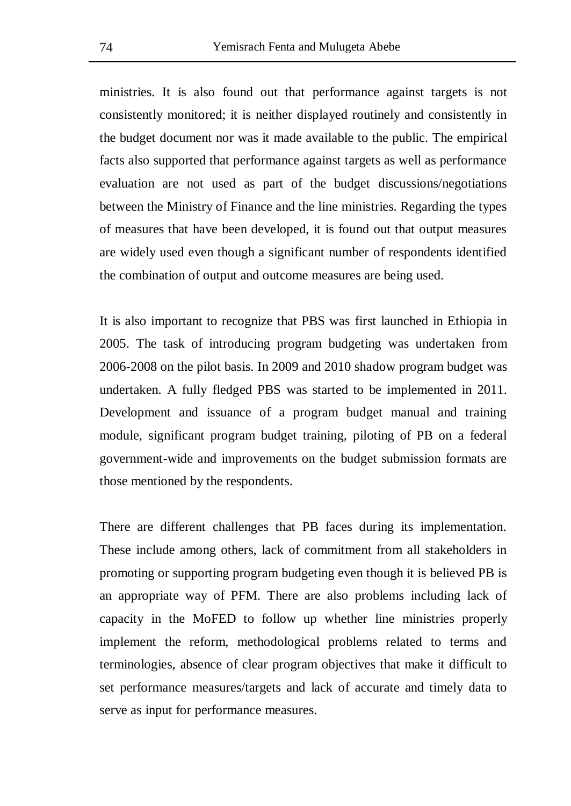ministries. It is also found out that performance against targets is not consistently monitored; it is neither displayed routinely and consistently in the budget document nor was it made available to the public. The empirical facts also supported that performance against targets as well as performance evaluation are not used as part of the budget discussions/negotiations between the Ministry of Finance and the line ministries. Regarding the types of measures that have been developed, it is found out that output measures are widely used even though a significant number of respondents identified the combination of output and outcome measures are being used.

It is also important to recognize that PBS was first launched in Ethiopia in 2005. The task of introducing program budgeting was undertaken from 2006-2008 on the pilot basis. In 2009 and 2010 shadow program budget was undertaken. A fully fledged PBS was started to be implemented in 2011. Development and issuance of a program budget manual and training module, significant program budget training, piloting of PB on a federal government-wide and improvements on the budget submission formats are those mentioned by the respondents.

There are different challenges that PB faces during its implementation. These include among others, lack of commitment from all stakeholders in promoting or supporting program budgeting even though it is believed PB is an appropriate way of PFM. There are also problems including lack of capacity in the MoFED to follow up whether line ministries properly implement the reform, methodological problems related to terms and terminologies, absence of clear program objectives that make it difficult to set performance measures/targets and lack of accurate and timely data to serve as input for performance measures.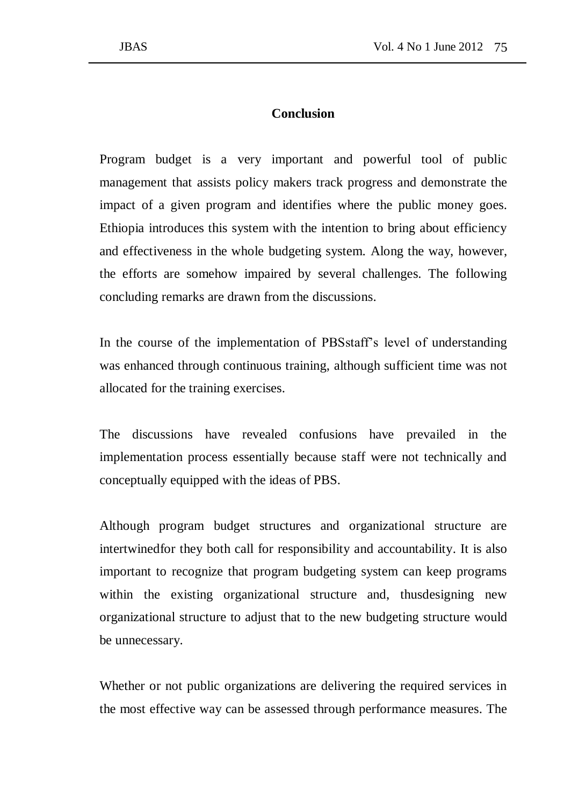### **Conclusion**

Program budget is a very important and powerful tool of public management that assists policy makers track progress and demonstrate the impact of a given program and identifies where the public money goes. Ethiopia introduces this system with the intention to bring about efficiency and effectiveness in the whole budgeting system. Along the way, however, the efforts are somehow impaired by several challenges. The following concluding remarks are drawn from the discussions.

In the course of the implementation of PBSstaff's level of understanding was enhanced through continuous training, although sufficient time was not allocated for the training exercises.

The discussions have revealed confusions have prevailed in the implementation process essentially because staff were not technically and conceptually equipped with the ideas of PBS.

Although program budget structures and organizational structure are intertwinedfor they both call for responsibility and accountability. It is also important to recognize that program budgeting system can keep programs within the existing organizational structure and, thusdesigning new organizational structure to adjust that to the new budgeting structure would be unnecessary.

Whether or not public organizations are delivering the required services in the most effective way can be assessed through performance measures. The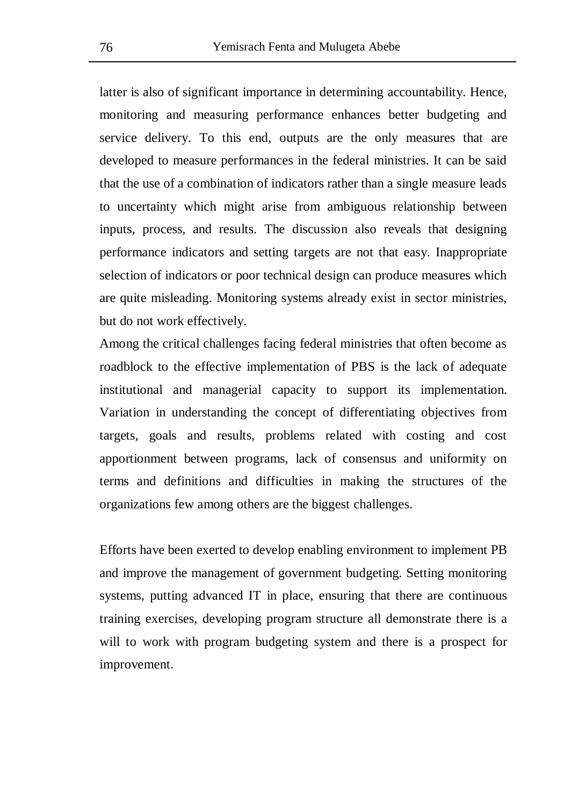latter is also of significant importance in determining accountability. Hence, monitoring and measuring performance enhances better budgeting and service delivery. To this end, outputs are the only measures that are developed to measure performances in the federal ministries. It can be said that the use of a combination of indicators rather than a single measure leads to uncertainty which might arise from ambiguous relationship between inputs, process, and results. The discussion also reveals that designing performance indicators and setting targets are not that easy. Inappropriate selection of indicators or poor technical design can produce measures which are quite misleading. Monitoring systems already exist in sector ministries, but do not work effectively.

Among the critical challenges facing federal ministries that often become as roadblock to the effective implementation of PBS is the lack of adequate institutional and managerial capacity to support its implementation. Variation in understanding the concept of differentiating objectives from targets, goals and results, problems related with costing and cost apportionment between programs, lack of consensus and uniformity on terms and definitions and difficulties in making the structures of the organizations few among others are the biggest challenges.

Efforts have been exerted to develop enabling environment to implement PB and improve the management of government budgeting. Setting monitoring systems, putting advanced IT in place, ensuring that there are continuous training exercises, developing program structure all demonstrate there is a will to work with program budgeting system and there is a prospect for improvement.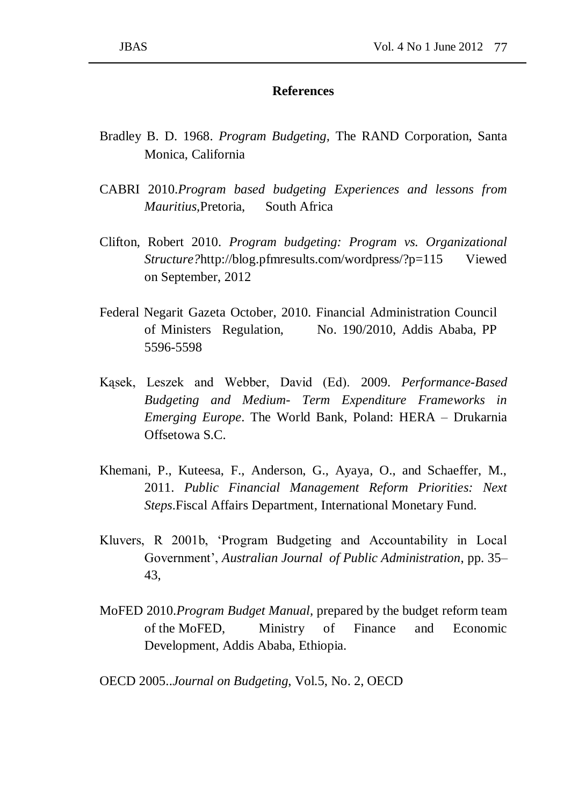### **References**

- Bradley B. D. 1968. *Program Budgeting,* The RAND Corporation, Santa Monica, California
- CABRI 2010.*Program based budgeting Experiences and lessons from Mauritius,*Pretoria, South Africa
- Clifton, Robert 2010. *Program budgeting: Program vs. Organizational Structure?*http://blog.pfmresults.com/wordpress/?p=115 Viewed on September, 2012
- Federal Negarit Gazeta October, 2010. Financial Administration Council of Ministers Regulation, No. 190/2010, Addis Ababa, PP 5596-5598
- Kąsek, Leszek and Webber, David (Ed). 2009. *Performance-Based Budgeting and Medium- Term Expenditure Frameworks in Emerging Europe*. The World Bank, Poland: HERA – Drukarnia Offsetowa S.C.
- Khemani, P., Kuteesa, F., Anderson, G., Ayaya, O., and Schaeffer, M., 2011. *Public Financial Management Reform Priorities: Next Steps*.Fiscal Affairs Department, International Monetary Fund.
- Kluvers, R 2001b, 'Program Budgeting and Accountability in Local Government', *Australian Journal of Public Administration*, pp. 35– 43,
- MoFED 2010.*Program Budget Manual,* prepared by the budget reform team of the MoFED, Ministry of Finance and Economic Development, Addis Ababa, Ethiopia.

OECD 2005..*Journal on Budgeting*, Vol.5, No. 2, OECD